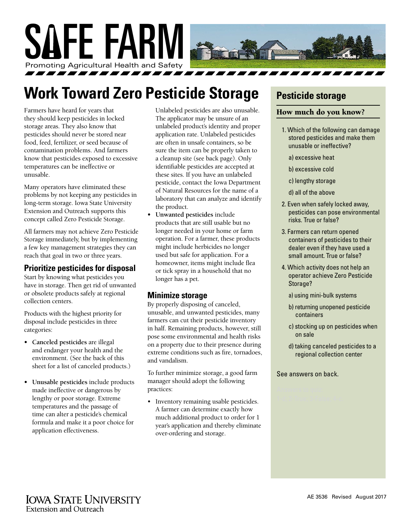

# **Work Toward Zero Pesticide Storage**

Farmers have heard for years that they should keep pesticides in locked storage areas. They also know that pesticides should never be stored near food, feed, fertilizer, or seed because of contamination problems. And farmers know that pesticides exposed to excessive temperatures can be ineffective or unusable.

Many operators have eliminated these problems by not keeping any pesticides in long-term storage. Iowa State University Extension and Outreach supports this concept called Zero Pesticide Storage.

All farmers may not achieve Zero Pesticide Storage immediately, but by implementing a few key management strategies they can reach that goal in two or three years.

### **Prioritize pesticides for disposal**

Start by knowing what pesticides you have in storage. Then get rid of unwanted or obsolete products safely at regional collection centers.

Products with the highest priority for disposal include pesticides in three categories:

- **• Canceled pesticides** are illegal and endanger your health and the environment. (See the back of this sheet for a list of canceled products.)
- **• Unusable pesticides** include products made ineffective or dangerous by lengthy or poor storage. Extreme temperatures and the passage of time can alter a pesticide's chemical formula and make it a poor choice for application effectiveness.

Unlabeled pesticides are also unusable. The applicator may be unsure of an unlabeled product's identity and proper application rate. Unlabeled pesticides are often in unsafe containers, so be sure the item can be properly taken to a cleanup site (see back page). Only identifiable pesticides are accepted at these sites. If you have an unlabeled pesticide, contact the Iowa Department of Natural Resources for the name of a laboratory that can analyze and identify the product.

**• Unwanted pesticides** include products that are still usable but no longer needed in your home or farm operation. For a farmer, these products might include herbicides no longer used but safe for application. For a homeowner, items might include flea or tick spray in a household that no longer has a pet.

### **Minimize storage**

By properly disposing of canceled, unusable, and unwanted pesticides, many farmers can cut their pesticide inventory in half. Remaining products, however, still pose some environmental and health risks on a property due to their presence during extreme conditions such as fire, tornadoes, and vandalism.

To further minimize storage, a good farm manager should adopt the following practices:

• Inventory remaining usable pesticides. A farmer can determine exactly how much additional product to order for 1 year's application and thereby eliminate over-ordering and storage.

### **Pesticide storage**

#### How much do you know?

- 1. Which of the following can damage stored pesticides and make them unusable or ineffective?
	- a) excessive heat
	- b) excessive cold
	- c) lengthy storage
	- d) all of the above
- 2. Even when safely locked away, pesticides can pose environmental risks. True or false?
- 3. Farmers can return opened containers of pesticides to their dealer even if they have used a small amount. True or false?
- 4. Which activity does not help an operator achieve Zero Pesticide Storage?
	- a) using mini-bulk systems
	- b) returning unopened pesticide containers
	- c) stocking up on pesticides when on sale
	- d) taking canceled pesticides to a regional collection center

See answers on back.